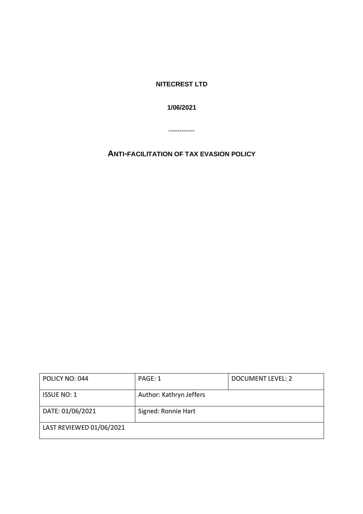**NITECREST LTD** 

**1/06/2021** 

------------

**ANTI-FACILITATION OF TAX EVASION POLICY**

| POLICY NO: 044           | PAGE: 1                 | DOCUMENT LEVEL: 2 |
|--------------------------|-------------------------|-------------------|
| <b>ISSUE NO: 1</b>       | Author: Kathryn Jeffers |                   |
| DATE: 01/06/2021         | Signed: Ronnie Hart     |                   |
| LAST REVIEWED 01/06/2021 |                         |                   |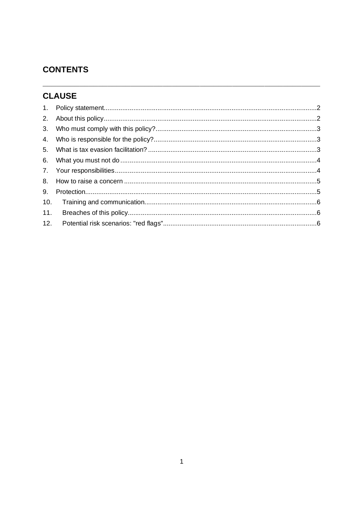# **CONTENTS**

# **CLAUSE**

| 5 <sub>1</sub> |  |
|----------------|--|
|                |  |
|                |  |
|                |  |
| 9.             |  |
| 10.            |  |
| 11.            |  |
|                |  |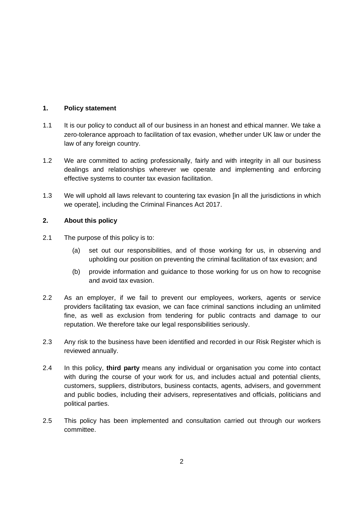## **1. Policy statement**

- 1.1 It is our policy to conduct all of our business in an honest and ethical manner. We take a zero-tolerance approach to facilitation of tax evasion, whether under UK law or under the law of any foreign country.
- 1.2 We are committed to acting professionally, fairly and with integrity in all our business dealings and relationships wherever we operate and implementing and enforcing effective systems to counter tax evasion facilitation.
- 1.3 We will uphold all laws relevant to countering tax evasion [in all the jurisdictions in which we operate], including the Criminal Finances Act 2017.

## **2. About this policy**

- 2.1 The purpose of this policy is to:
	- (a) set out our responsibilities, and of those working for us, in observing and upholding our position on preventing the criminal facilitation of tax evasion; and
	- (b) provide information and guidance to those working for us on how to recognise and avoid tax evasion.
- 2.2 As an employer, if we fail to prevent our employees, workers, agents or service providers facilitating tax evasion, we can face criminal sanctions including an unlimited fine, as well as exclusion from tendering for public contracts and damage to our reputation. We therefore take our legal responsibilities seriously.
- 2.3 Any risk to the business have been identified and recorded in our Risk Register which is reviewed annually.
- 2.4 In this policy, **third party** means any individual or organisation you come into contact with during the course of your work for us, and includes actual and potential clients, customers, suppliers, distributors, business contacts, agents, advisers, and government and public bodies, including their advisers, representatives and officials, politicians and political parties.
- 2.5 This policy has been implemented and consultation carried out through our workers committee.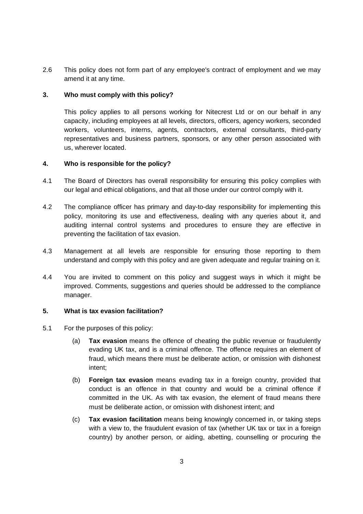2.6 This policy does not form part of any employee's contract of employment and we may amend it at any time.

## **3. Who must comply with this policy?**

This policy applies to all persons working for Nitecrest Ltd or on our behalf in any capacity, including employees at all levels, directors, officers, agency workers, seconded workers, volunteers, interns, agents, contractors, external consultants, third-party representatives and business partners, sponsors, or any other person associated with us, wherever located.

## **4. Who is responsible for the policy?**

- 4.1 The Board of Directors has overall responsibility for ensuring this policy complies with our legal and ethical obligations, and that all those under our control comply with it.
- 4.2 The compliance officer has primary and day-to-day responsibility for implementing this policy, monitoring its use and effectiveness, dealing with any queries about it, and auditing internal control systems and procedures to ensure they are effective in preventing the facilitation of tax evasion.
- 4.3 Management at all levels are responsible for ensuring those reporting to them understand and comply with this policy and are given adequate and regular training on it.
- 4.4 You are invited to comment on this policy and suggest ways in which it might be improved. Comments, suggestions and queries should be addressed to the compliance manager.

## **5. What is tax evasion facilitation?**

- 5.1 For the purposes of this policy:
	- (a) **Tax evasion** means the offence of cheating the public revenue or fraudulently evading UK tax, and is a criminal offence. The offence requires an element of fraud, which means there must be deliberate action, or omission with dishonest intent;
	- (b) **Foreign tax evasion** means evading tax in a foreign country, provided that conduct is an offence in that country and would be a criminal offence if committed in the UK. As with tax evasion, the element of fraud means there must be deliberate action, or omission with dishonest intent; and
	- (c) **Tax evasion facilitation** means being knowingly concerned in, or taking steps with a view to, the fraudulent evasion of tax (whether UK tax or tax in a foreign country) by another person, or aiding, abetting, counselling or procuring the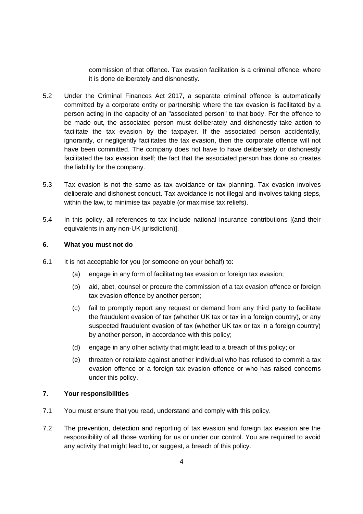commission of that offence. Tax evasion facilitation is a criminal offence, where it is done deliberately and dishonestly.

- 5.2 Under the Criminal Finances Act 2017, a separate criminal offence is automatically committed by a corporate entity or partnership where the tax evasion is facilitated by a person acting in the capacity of an "associated person" to that body. For the offence to be made out, the associated person must deliberately and dishonestly take action to facilitate the tax evasion by the taxpayer. If the associated person accidentally, ignorantly, or negligently facilitates the tax evasion, then the corporate offence will not have been committed. The company does not have to have deliberately or dishonestly facilitated the tax evasion itself; the fact that the associated person has done so creates the liability for the company.
- 5.3 Tax evasion is not the same as tax avoidance or tax planning. Tax evasion involves deliberate and dishonest conduct. Tax avoidance is not illegal and involves taking steps, within the law, to minimise tax payable (or maximise tax reliefs).
- 5.4 In this policy, all references to tax include national insurance contributions [(and their equivalents in any non-UK jurisdiction)].

#### **6. What you must not do**

- 6.1 It is not acceptable for you (or someone on your behalf) to:
	- (a) engage in any form of facilitating tax evasion or foreign tax evasion;
	- (b) aid, abet, counsel or procure the commission of a tax evasion offence or foreign tax evasion offence by another person;
	- (c) fail to promptly report any request or demand from any third party to facilitate the fraudulent evasion of tax (whether UK tax or tax in a foreign country), or any suspected fraudulent evasion of tax (whether UK tax or tax in a foreign country) by another person, in accordance with this policy;
	- (d) engage in any other activity that might lead to a breach of this policy; or
	- (e) threaten or retaliate against another individual who has refused to commit a tax evasion offence or a foreign tax evasion offence or who has raised concerns under this policy.

#### **7. Your responsibilities**

- 7.1 You must ensure that you read, understand and comply with this policy.
- 7.2 The prevention, detection and reporting of tax evasion and foreign tax evasion are the responsibility of all those working for us or under our control. You are required to avoid any activity that might lead to, or suggest, a breach of this policy.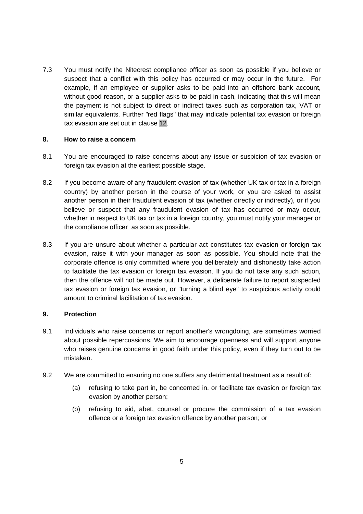7.3 You must notify the Nitecrest compliance officer as soon as possible if you believe or suspect that a conflict with this policy has occurred or may occur in the future. For example, if an employee or supplier asks to be paid into an offshore bank account, without good reason, or a supplier asks to be paid in cash, indicating that this will mean the payment is not subject to direct or indirect taxes such as corporation tax, VAT or similar equivalents. Further "red flags" that may indicate potential tax evasion or foreign tax evasion are set out in clause 12.

#### **8. How to raise a concern**

- 8.1 You are encouraged to raise concerns about any issue or suspicion of tax evasion or foreign tax evasion at the earliest possible stage.
- 8.2 If you become aware of any fraudulent evasion of tax (whether UK tax or tax in a foreign country) by another person in the course of your work, or you are asked to assist another person in their fraudulent evasion of tax (whether directly or indirectly), or if you believe or suspect that any fraudulent evasion of tax has occurred or may occur, whether in respect to UK tax or tax in a foreign country, you must notify your manager or the compliance officer as soon as possible.
- 8.3 If you are unsure about whether a particular act constitutes tax evasion or foreign tax evasion, raise it with your manager as soon as possible. You should note that the corporate offence is only committed where you deliberately and dishonestly take action to facilitate the tax evasion or foreign tax evasion. If you do not take any such action, then the offence will not be made out. However, a deliberate failure to report suspected tax evasion or foreign tax evasion, or "turning a blind eye" to suspicious activity could amount to criminal facilitation of tax evasion.

#### **9. Protection**

- 9.1 Individuals who raise concerns or report another's wrongdoing, are sometimes worried about possible repercussions. We aim to encourage openness and will support anyone who raises genuine concerns in good faith under this policy, even if they turn out to be mistaken.
- 9.2 We are committed to ensuring no one suffers any detrimental treatment as a result of:
	- (a) refusing to take part in, be concerned in, or facilitate tax evasion or foreign tax evasion by another person;
	- (b) refusing to aid, abet, counsel or procure the commission of a tax evasion offence or a foreign tax evasion offence by another person; or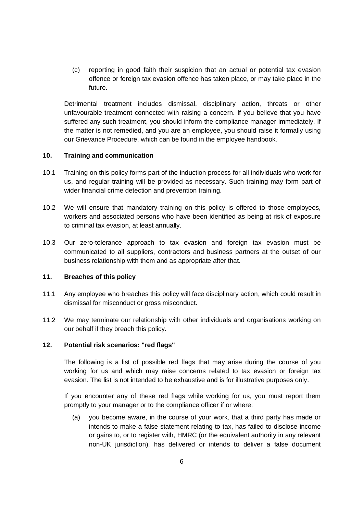(c) reporting in good faith their suspicion that an actual or potential tax evasion offence or foreign tax evasion offence has taken place, or may take place in the future.

Detrimental treatment includes dismissal, disciplinary action, threats or other unfavourable treatment connected with raising a concern. If you believe that you have suffered any such treatment, you should inform the compliance manager immediately. If the matter is not remedied, and you are an employee, you should raise it formally using our Grievance Procedure, which can be found in the employee handbook.

#### **10. Training and communication**

- 10.1 Training on this policy forms part of the induction process for all individuals who work for us, and regular training will be provided as necessary. Such training may form part of wider financial crime detection and prevention training.
- 10.2 We will ensure that mandatory training on this policy is offered to those employees, workers and associated persons who have been identified as being at risk of exposure to criminal tax evasion, at least annually.
- 10.3 Our zero-tolerance approach to tax evasion and foreign tax evasion must be communicated to all suppliers, contractors and business partners at the outset of our business relationship with them and as appropriate after that.

#### **11. Breaches of this policy**

- 11.1 Any employee who breaches this policy will face disciplinary action, which could result in dismissal for misconduct or gross misconduct.
- 11.2 We may terminate our relationship with other individuals and organisations working on our behalf if they breach this policy.

## **12. Potential risk scenarios: "red flags"**

The following is a list of possible red flags that may arise during the course of you working for us and which may raise concerns related to tax evasion or foreign tax evasion. The list is not intended to be exhaustive and is for illustrative purposes only.

If you encounter any of these red flags while working for us, you must report them promptly to your manager or to the compliance officer if or where:

(a) you become aware, in the course of your work, that a third party has made or intends to make a false statement relating to tax, has failed to disclose income or gains to, or to register with, HMRC (or the equivalent authority in any relevant non-UK jurisdiction), has delivered or intends to deliver a false document